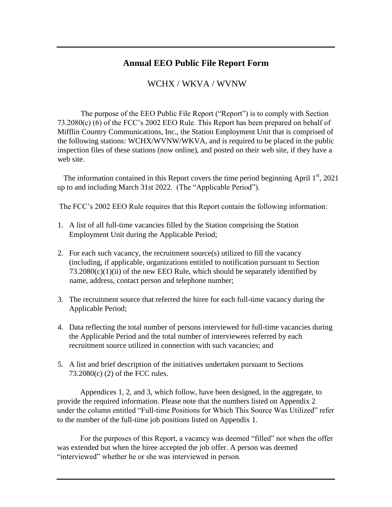#### **Annual EEO Public File Report Form**

### WCHX / WKVA / WVNW

The purpose of the EEO Public File Report ("Report") is to comply with Section 73.2080(c) (6) of the FCC's 2002 EEO Rule. This Report has been prepared on behalf of Mifflin Country Communications, Inc., the Station Employment Unit that is comprised of the following stations: WCHX/WVNW/WKVA, and is required to be placed in the public inspection files of these stations (now online), and posted on their web site, if they have a web site.

The information contained in this Report covers the time period beginning April  $1<sup>st</sup>$ , 2021 up to and including March 31st 2022. (The "Applicable Period").

The FCC's 2002 EEO Rule requires that this Report contain the following information:

- 1. A list of all full-time vacancies filled by the Station comprising the Station Employment Unit during the Applicable Period;
- 2. For each such vacancy, the recruitment source(s) utilized to fill the vacancy (including, if applicable, organizations entitled to notification pursuant to Section  $73.2080(c)(1)(ii)$  of the new EEO Rule, which should be separately identified by name, address, contact person and telephone number;
- 3. The recruitment source that referred the hiree for each full-time vacancy during the Applicable Period;
- 4. Data reflecting the total number of persons interviewed for full-time vacancies during the Applicable Period and the total number of interviewees referred by each recruitment source utilized in connection with such vacancies; and
- 5. A list and brief description of the initiatives undertaken pursuant to Sections 73.2080(c) (2) of the FCC rules.

Appendices 1, 2, and 3, which follow, have been designed, in the aggregate, to provide the required information. Please note that the numbers listed on Appendix 2 under the column entitled "Full-time Positions for Which This Source Was Utilized" refer to the number of the full-time job positions listed on Appendix 1.

For the purposes of this Report, a vacancy was deemed "filled" not when the offer was extended but when the hiree accepted the job offer. A person was deemed "interviewed" whether he or she was interviewed in person.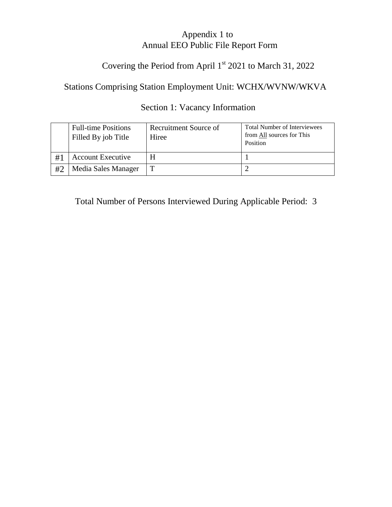### Appendix 1 to Annual EEO Public File Report Form

# Covering the Period from April 1<sup>st</sup> 2021 to March 31, 2022

# Stations Comprising Station Employment Unit: WCHX/WVNW/WKVA

### Section 1: Vacancy Information

|    | <b>Full-time Positions</b><br>Filled By job Title | Recruitment Source of<br>Hiree | <b>Total Number of Interviewees</b><br>from All sources for This<br>Position |
|----|---------------------------------------------------|--------------------------------|------------------------------------------------------------------------------|
| #1 | <b>Account Executive</b>                          |                                |                                                                              |
| #2 | Media Sales Manager                               |                                |                                                                              |

Total Number of Persons Interviewed During Applicable Period: 3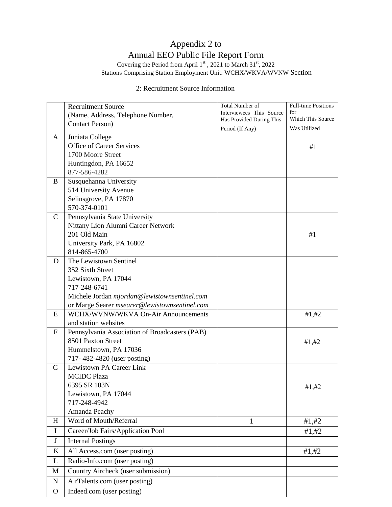# Appendix 2 to Annual EEO Public File Report Form

Covering the Period from April  $1<sup>st</sup>$ , 2021 to March 31 $<sup>st</sup>$ , 2022</sup> Stations Comprising Station Employment Unit: WCHX/WKVA/WVNW Section

#### 2: Recruitment Source Information

|              | <b>Recruitment Source</b>                           | <b>Total Number of</b>   | <b>Full-time Positions</b> |
|--------------|-----------------------------------------------------|--------------------------|----------------------------|
|              | (Name, Address, Telephone Number,                   | Interviewees This Source | for                        |
|              | <b>Contact Person</b> )                             | Has Provided During This | Which This Source          |
|              |                                                     | Period (If Any)          | Was Utilized               |
| A            | Juniata College<br><b>Office of Career Services</b> |                          |                            |
|              | 1700 Moore Street                                   |                          | #1                         |
|              | Huntingdon, PA 16652                                |                          |                            |
|              | 877-586-4282                                        |                          |                            |
| B            | Susquehanna University                              |                          |                            |
|              | 514 University Avenue                               |                          |                            |
|              | Selinsgrove, PA 17870                               |                          |                            |
|              | 570-374-0101                                        |                          |                            |
| C            | Pennsylvania State University                       |                          |                            |
|              | Nittany Lion Alumni Career Network                  |                          |                            |
|              | 201 Old Main                                        |                          | #1                         |
|              | University Park, PA 16802                           |                          |                            |
|              | 814-865-4700                                        |                          |                            |
| D            | The Lewistown Sentinel                              |                          |                            |
|              | 352 Sixth Street                                    |                          |                            |
|              | Lewistown, PA 17044                                 |                          |                            |
|              | 717-248-6741                                        |                          |                            |
|              | Michele Jordan mjordan@lewistownsentinel.com        |                          |                            |
|              | or Marge Searer msearer@lewistownsentinel.com       |                          |                            |
| E            | WCHX/WVNW/WKVA On-Air Announcements                 |                          | #1, #2                     |
|              | and station websites                                |                          |                            |
| F            | Pennsylvania Association of Broadcasters (PAB)      |                          |                            |
|              | 8501 Paxton Street                                  |                          | #1, #2                     |
|              | Hummelstown, PA 17036                               |                          |                            |
|              | 717-482-4820 (user posting)                         |                          |                            |
| G            | Lewistown PA Career Link                            |                          |                            |
|              | <b>MCIDC Plaza</b>                                  |                          |                            |
|              | 6395 SR 103N<br>Lewistown, PA 17044                 |                          | #1, #2                     |
|              | 717-248-4942                                        |                          |                            |
|              | Amanda Peachy                                       |                          |                            |
| H            | Word of Mouth/Referral                              | $\mathbf{1}$             | #1, #2                     |
| $\bf{I}$     | Career/Job Fairs/Application Pool                   |                          | #1, #2                     |
| $\bf J$      | <b>Internal Postings</b>                            |                          |                            |
|              |                                                     |                          |                            |
| K            | All Access.com (user posting)                       |                          | #1, #2                     |
| L            | Radio-Info.com (user posting)                       |                          |                            |
| M            | Country Aircheck (user submission)                  |                          |                            |
| N            | AirTalents.com (user posting)                       |                          |                            |
| $\mathbf{O}$ | Indeed.com (user posting)                           |                          |                            |